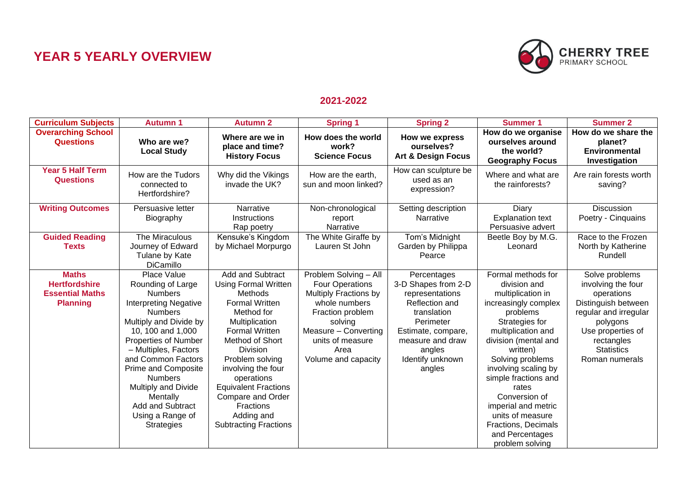## **YEAR 5 YEARLY OVERVIEW**



## **2021-2022**

| <b>Curriculum Subjects</b>                                                        | <b>Autumn 1</b>                                                                                                                                                                                                                                                                                                                                                           | <b>Autumn 2</b>                                                                                                                                                                                                                                                                                                                                                 | <b>Spring 1</b>                                                                                                                                                                              | <b>Spring 2</b>                                                                                                                                                                       | <b>Summer 1</b>                                                                                                                                                                                                                                                                                                                                                                      | <b>Summer 2</b>                                                                                                                                                                          |
|-----------------------------------------------------------------------------------|---------------------------------------------------------------------------------------------------------------------------------------------------------------------------------------------------------------------------------------------------------------------------------------------------------------------------------------------------------------------------|-----------------------------------------------------------------------------------------------------------------------------------------------------------------------------------------------------------------------------------------------------------------------------------------------------------------------------------------------------------------|----------------------------------------------------------------------------------------------------------------------------------------------------------------------------------------------|---------------------------------------------------------------------------------------------------------------------------------------------------------------------------------------|--------------------------------------------------------------------------------------------------------------------------------------------------------------------------------------------------------------------------------------------------------------------------------------------------------------------------------------------------------------------------------------|------------------------------------------------------------------------------------------------------------------------------------------------------------------------------------------|
| <b>Overarching School</b><br><b>Questions</b>                                     | Who are we?<br><b>Local Study</b>                                                                                                                                                                                                                                                                                                                                         | Where are we in<br>place and time?<br><b>History Focus</b>                                                                                                                                                                                                                                                                                                      | How does the world<br>work?<br><b>Science Focus</b>                                                                                                                                          | How we express<br>ourselves?<br><b>Art &amp; Design Focus</b>                                                                                                                         | How do we organise<br>ourselves around<br>the world?<br><b>Geography Focus</b>                                                                                                                                                                                                                                                                                                       | How do we share the<br>planet?<br><b>Environmental</b><br>Investigation                                                                                                                  |
| <b>Year 5 Half Term</b><br><b>Questions</b>                                       | How are the Tudors<br>connected to<br>Hertfordshire?                                                                                                                                                                                                                                                                                                                      | Why did the Vikings<br>invade the UK?                                                                                                                                                                                                                                                                                                                           | How are the earth,<br>sun and moon linked?                                                                                                                                                   | How can sculpture be<br>used as an<br>expression?                                                                                                                                     | Where and what are<br>the rainforests?                                                                                                                                                                                                                                                                                                                                               | Are rain forests worth<br>saving?                                                                                                                                                        |
| <b>Writing Outcomes</b>                                                           | Persuasive letter<br>Biography                                                                                                                                                                                                                                                                                                                                            | Narrative<br>Instructions<br>Rap poetry                                                                                                                                                                                                                                                                                                                         | Non-chronological<br>report<br>Narrative                                                                                                                                                     | Setting description<br>Narrative                                                                                                                                                      | Diary<br><b>Explanation text</b><br>Persuasive advert                                                                                                                                                                                                                                                                                                                                | <b>Discussion</b><br>Poetry - Cinquains                                                                                                                                                  |
| <b>Guided Reading</b><br><b>Texts</b>                                             | The Miraculous<br>Journey of Edward<br>Tulane by Kate<br>DiCamillo                                                                                                                                                                                                                                                                                                        | Kensuke's Kingdom<br>by Michael Morpurgo                                                                                                                                                                                                                                                                                                                        | The White Giraffe by<br>Lauren St John                                                                                                                                                       | Tom's Midnight<br>Garden by Philippa<br>Pearce                                                                                                                                        | Beetle Boy by M.G.<br>Leonard                                                                                                                                                                                                                                                                                                                                                        | Race to the Frozen<br>North by Katherine<br>Rundell                                                                                                                                      |
| <b>Maths</b><br><b>Hertfordshire</b><br><b>Essential Maths</b><br><b>Planning</b> | Place Value<br>Rounding of Large<br><b>Numbers</b><br><b>Interpreting Negative</b><br><b>Numbers</b><br>Multiply and Divide by<br>10, 100 and 1,000<br>Properties of Number<br>- Multiples, Factors<br>and Common Factors<br><b>Prime and Composite</b><br><b>Numbers</b><br>Multiply and Divide<br>Mentally<br>Add and Subtract<br>Using a Range of<br><b>Strategies</b> | Add and Subtract<br><b>Using Formal Written</b><br>Methods<br><b>Formal Written</b><br>Method for<br>Multiplication<br><b>Formal Written</b><br>Method of Short<br><b>Division</b><br>Problem solving<br>involving the four<br>operations<br><b>Equivalent Fractions</b><br>Compare and Order<br><b>Fractions</b><br>Adding and<br><b>Subtracting Fractions</b> | Problem Solving - All<br>Four Operations<br>Multiply Fractions by<br>whole numbers<br>Fraction problem<br>solving<br>Measure - Converting<br>units of measure<br>Area<br>Volume and capacity | Percentages<br>3-D Shapes from 2-D<br>representations<br>Reflection and<br>translation<br>Perimeter<br>Estimate, compare,<br>measure and draw<br>angles<br>Identify unknown<br>angles | Formal methods for<br>division and<br>multiplication in<br>increasingly complex<br>problems<br>Strategies for<br>multiplication and<br>division (mental and<br>written)<br>Solving problems<br>involving scaling by<br>simple fractions and<br>rates<br>Conversion of<br>imperial and metric<br>units of measure<br><b>Fractions, Decimals</b><br>and Percentages<br>problem solving | Solve problems<br>involving the four<br>operations<br>Distinguish between<br>regular and irregular<br>polygons<br>Use properties of<br>rectangles<br><b>Statistics</b><br>Roman numerals |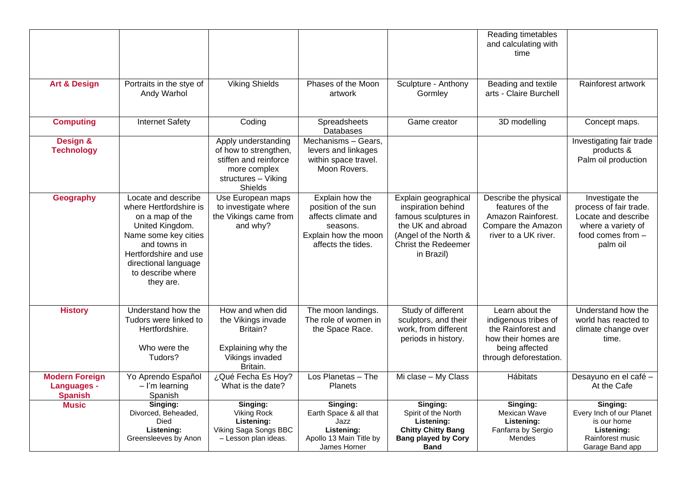|                                                               |                                                                                                                                                                                                                |                                                                                                                         |                                                                                                                         |                                                                                                                                                       | Reading timetables<br>and calculating with<br>time                                                                               |                                                                                                                         |
|---------------------------------------------------------------|----------------------------------------------------------------------------------------------------------------------------------------------------------------------------------------------------------------|-------------------------------------------------------------------------------------------------------------------------|-------------------------------------------------------------------------------------------------------------------------|-------------------------------------------------------------------------------------------------------------------------------------------------------|----------------------------------------------------------------------------------------------------------------------------------|-------------------------------------------------------------------------------------------------------------------------|
| <b>Art &amp; Design</b>                                       | Portraits in the stye of<br>Andy Warhol                                                                                                                                                                        | <b>Viking Shields</b>                                                                                                   | Phases of the Moon<br>artwork                                                                                           | Sculpture - Anthony<br>Gormley                                                                                                                        | Beading and textile<br>arts - Claire Burchell                                                                                    | Rainforest artwork                                                                                                      |
| <b>Computing</b>                                              | <b>Internet Safety</b>                                                                                                                                                                                         | Coding                                                                                                                  | Spreadsheets<br>Databases                                                                                               | Game creator                                                                                                                                          | 3D modelling                                                                                                                     | Concept maps.                                                                                                           |
| Design &<br><b>Technology</b>                                 |                                                                                                                                                                                                                | Apply understanding<br>of how to strengthen,<br>stiffen and reinforce<br>more complex<br>structures - Viking<br>Shields | Mechanisms - Gears,<br>levers and linkages<br>within space travel.<br>Moon Rovers.                                      |                                                                                                                                                       |                                                                                                                                  | Investigating fair trade<br>products &<br>Palm oil production                                                           |
| <b>Geography</b>                                              | Locate and describe<br>where Hertfordshire is<br>on a map of the<br>United Kingdom.<br>Name some key cities<br>and towns in<br>Hertfordshire and use<br>directional language<br>to describe where<br>they are. | Use European maps<br>to investigate where<br>the Vikings came from<br>and why?                                          | Explain how the<br>position of the sun<br>affects climate and<br>seasons.<br>Explain how the moon<br>affects the tides. | Explain geographical<br>inspiration behind<br>famous sculptures in<br>the UK and abroad<br>(Angel of the North &<br>Christ the Redeemer<br>in Brazil) | Describe the physical<br>features of the<br>Amazon Rainforest.<br>Compare the Amazon<br>river to a UK river.                     | Investigate the<br>process of fair trade.<br>Locate and describe<br>where a variety of<br>food comes from -<br>palm oil |
| <b>History</b>                                                | Understand how the<br>Tudors were linked to<br>Hertfordshire.<br>Who were the<br>Tudors?                                                                                                                       | How and when did<br>the Vikings invade<br>Britain?<br>Explaining why the<br>Vikings invaded<br>Britain.                 | The moon landings.<br>The role of women in<br>the Space Race.                                                           | Study of different<br>sculptors, and their<br>work, from different<br>periods in history.                                                             | Learn about the<br>indigenous tribes of<br>the Rainforest and<br>how their homes are<br>being affected<br>through deforestation. | Understand how the<br>world has reacted to<br>climate change over<br>time.                                              |
| <b>Modern Foreign</b><br><b>Languages -</b><br><b>Spanish</b> | Yo Aprendo Español<br>$-$ I'm learning<br>Spanish                                                                                                                                                              | ¿Qué Fecha Es Hoy?<br>What is the date?                                                                                 | Los Planetas - The<br><b>Planets</b>                                                                                    | Mi clase - My Class                                                                                                                                   | Hábitats                                                                                                                         | Desayuno en el café -<br>At the Cafe                                                                                    |
| <b>Music</b>                                                  | Singing:<br>Divorced, Beheaded,<br><b>Died</b><br>Listening:<br>Greensleeves by Anon                                                                                                                           | Singing:<br><b>Viking Rock</b><br>Listening:<br>Viking Saga Songs BBC<br>- Lesson plan ideas.                           | Singing:<br>Earth Space & all that<br>Jazz<br>Listening:<br>Apollo 13 Main Title by<br>James Horner                     | Singing:<br>Spirit of the North<br>Listening:<br><b>Chitty Chitty Bang</b><br><b>Bang played by Cory</b><br><b>Band</b>                               | Singing:<br>Mexican Wave<br>Listening:<br>Fanfarra by Sergio<br>Mendes                                                           | Singing:<br>Every Inch of our Planet<br>is our home<br>Listening:<br>Rainforest music<br>Garage Band app                |